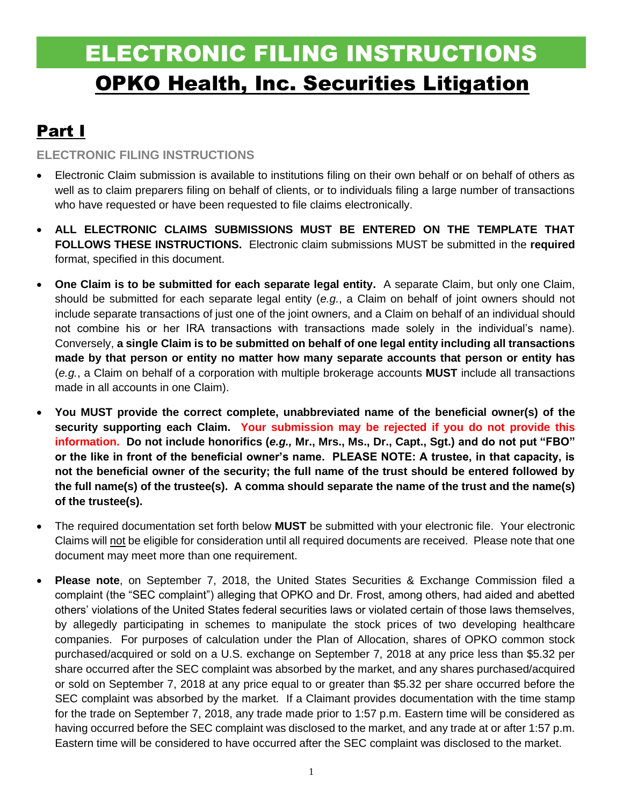# ELECTRONIC FILING INSTRUCTIONS OPKO Health, Inc. Securities Litigation

# Part I

### **ELECTRONIC FILING INSTRUCTIONS**

- Electronic Claim submission is available to institutions filing on their own behalf or on behalf of others as well as to claim preparers filing on behalf of clients, or to individuals filing a large number of transactions who have requested or have been requested to file claims electronically.
- **ALL ELECTRONIC CLAIMS SUBMISSIONS MUST BE ENTERED ON THE TEMPLATE THAT FOLLOWS THESE INSTRUCTIONS.** Electronic claim submissions MUST be submitted in the **required** format, specified in this document.
- **One Claim is to be submitted for each separate legal entity.** A separate Claim, but only one Claim, should be submitted for each separate legal entity (*e.g.*, a Claim on behalf of joint owners should not include separate transactions of just one of the joint owners, and a Claim on behalf of an individual should not combine his or her IRA transactions with transactions made solely in the individual's name). Conversely, **a single Claim is to be submitted on behalf of one legal entity including all transactions made by that person or entity no matter how many separate accounts that person or entity has**  (*e.g.*, a Claim on behalf of a corporation with multiple brokerage accounts **MUST** include all transactions made in all accounts in one Claim).
- **You MUST provide the correct complete, unabbreviated name of the beneficial owner(s) of the security supporting each Claim. Your submission may be rejected if you do not provide this information. Do not include honorifics (***e.g.,* **Mr., Mrs., Ms., Dr., Capt., Sgt.) and do not put "FBO" or the like in front of the beneficial owner's name. PLEASE NOTE: A trustee, in that capacity, is not the beneficial owner of the security; the full name of the trust should be entered followed by the full name(s) of the trustee(s). A comma should separate the name of the trust and the name(s) of the trustee(s).**
- The required documentation set forth below **MUST** be submitted with your electronic file. Your electronic Claims will not be eligible for consideration until all required documents are received. Please note that one document may meet more than one requirement.
- **Please note**, on September 7, 2018, the United States Securities & Exchange Commission filed a complaint (the "SEC complaint") alleging that OPKO and Dr. Frost, among others, had aided and abetted others' violations of the United States federal securities laws or violated certain of those laws themselves, by allegedly participating in schemes to manipulate the stock prices of two developing healthcare companies. For purposes of calculation under the Plan of Allocation, shares of OPKO common stock purchased/acquired or sold on a U.S. exchange on September 7, 2018 at any price less than \$5.32 per share occurred after the SEC complaint was absorbed by the market, and any shares purchased/acquired or sold on September 7, 2018 at any price equal to or greater than \$5.32 per share occurred before the SEC complaint was absorbed by the market. If a Claimant provides documentation with the time stamp for the trade on September 7, 2018, any trade made prior to 1:57 p.m. Eastern time will be considered as having occurred before the SEC complaint was disclosed to the market, and any trade at or after 1:57 p.m. Eastern time will be considered to have occurred after the SEC complaint was disclosed to the market.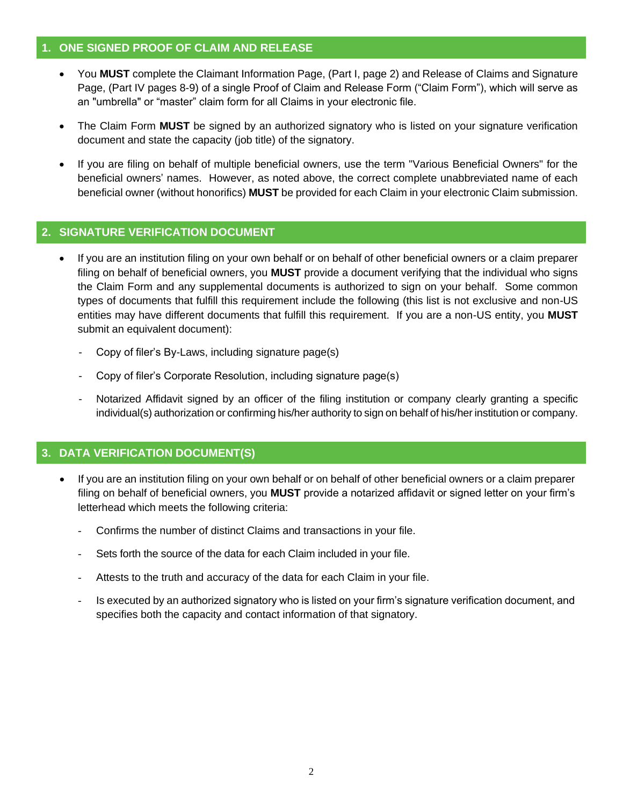#### **1. ONE SIGNED PROOF OF CLAIM AND RELEASE**

- You **MUST** complete the Claimant Information Page, (Part I, page 2) and Release of Claims and Signature Page, (Part IV pages 8-9) of a single Proof of Claim and Release Form ("Claim Form"), which will serve as an "umbrella" or "master" claim form for all Claims in your electronic file.
- The Claim Form **MUST** be signed by an authorized signatory who is listed on your signature verification document and state the capacity (job title) of the signatory.
- If you are filing on behalf of multiple beneficial owners, use the term "Various Beneficial Owners" for the beneficial owners' names. However, as noted above, the correct complete unabbreviated name of each beneficial owner (without honorifics) **MUST** be provided for each Claim in your electronic Claim submission.

#### **2. SIGNATURE VERIFICATION DOCUMENT**

- If you are an institution filing on your own behalf or on behalf of other beneficial owners or a claim preparer filing on behalf of beneficial owners, you **MUST** provide a document verifying that the individual who signs the Claim Form and any supplemental documents is authorized to sign on your behalf. Some common types of documents that fulfill this requirement include the following (this list is not exclusive and non-US entities may have different documents that fulfill this requirement. If you are a non-US entity, you **MUST** submit an equivalent document):
	- Copy of filer's By-Laws, including signature page(s)
	- Copy of filer's Corporate Resolution, including signature page(s)
	- Notarized Affidavit signed by an officer of the filing institution or company clearly granting a specific individual(s) authorization or confirming his/her authority to sign on behalf of his/her institution or company.

#### **3. DATA VERIFICATION DOCUMENT(S)**

- If you are an institution filing on your own behalf or on behalf of other beneficial owners or a claim preparer filing on behalf of beneficial owners, you **MUST** provide a notarized affidavit or signed letter on your firm's letterhead which meets the following criteria:
	- Confirms the number of distinct Claims and transactions in your file.
	- Sets forth the source of the data for each Claim included in your file.
	- Attests to the truth and accuracy of the data for each Claim in your file.
	- Is executed by an authorized signatory who is listed on your firm's signature verification document, and specifies both the capacity and contact information of that signatory.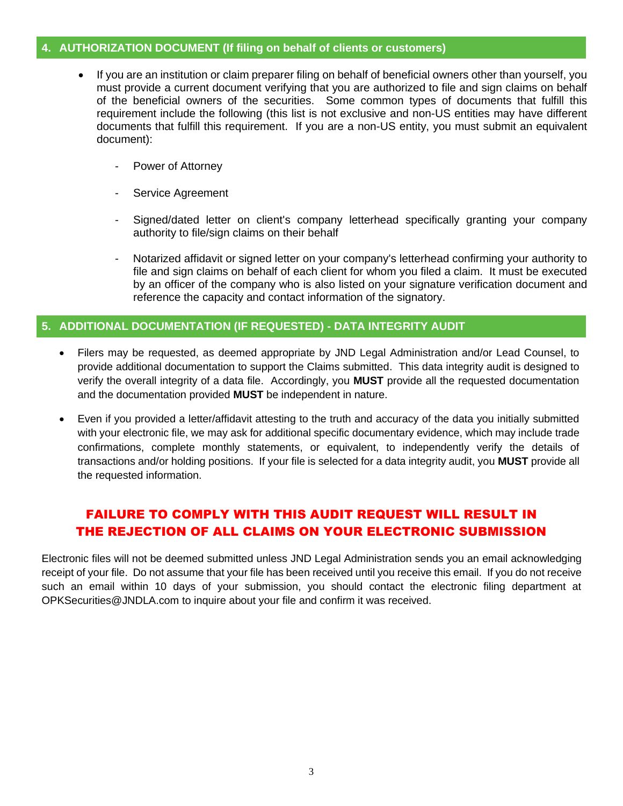#### **4. AUTHORIZATION DOCUMENT (If filing on behalf of clients or customers)**

- If you are an institution or claim preparer filing on behalf of beneficial owners other than yourself, you must provide a current document verifying that you are authorized to file and sign claims on behalf of the beneficial owners of the securities. Some common types of documents that fulfill this requirement include the following (this list is not exclusive and non-US entities may have different documents that fulfill this requirement. If you are a non-US entity, you must submit an equivalent document):
	- Power of Attorney
	- Service Agreement
	- Signed/dated letter on client's company letterhead specifically granting your company authority to file/sign claims on their behalf
	- Notarized affidavit or signed letter on your company's letterhead confirming your authority to file and sign claims on behalf of each client for whom you filed a claim. It must be executed by an officer of the company who is also listed on your signature verification document and reference the capacity and contact information of the signatory.

#### **5. ADDITIONAL DOCUMENTATION (IF REQUESTED) - DATA INTEGRITY AUDIT**

- Filers may be requested, as deemed appropriate by JND Legal Administration and/or Lead Counsel, to provide additional documentation to support the Claims submitted. This data integrity audit is designed to verify the overall integrity of a data file. Accordingly, you **MUST** provide all the requested documentation and the documentation provided **MUST** be independent in nature.
- Even if you provided a letter/affidavit attesting to the truth and accuracy of the data you initially submitted with your electronic file, we may ask for additional specific documentary evidence, which may include trade confirmations, complete monthly statements, or equivalent, to independently verify the details of transactions and/or holding positions. If your file is selected for a data integrity audit, you **MUST** provide all the requested information.

### FAILURE TO COMPLY WITH THIS AUDIT REQUEST WILL RESULT IN THE REJECTION OF ALL CLAIMS ON YOUR ELECTRONIC SUBMISSION

Electronic files will not be deemed submitted unless JND Legal Administration sends you an email acknowledging receipt of your file. Do not assume that your file has been received until you receive this email. If you do not receive such an email within 10 days of your submission, you should contact the electronic filing department at OPKSecurities@JNDLA.com to inquire about your file and confirm it was received.